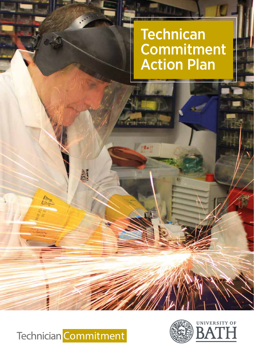# **Technican Commitment** Action Plan



**RANCH** 

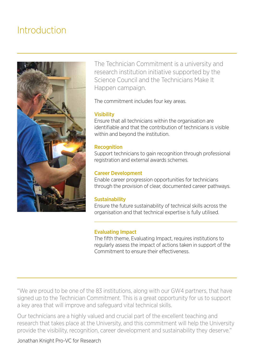### Introduction



The Technician Commitment is a university and research institution initiative supported by the Science Council and the Technicians Make It Happen campaign.

The commitment includes four key areas.

#### **Visibility**

Ensure that all technicians within the organisation are identifiable and that the contribution of technicians is visible within and beyond the institution.

#### **Recognition**

Support technicians to gain recognition through professional registration and external awards schemes.

#### Career Development

Enable career progression opportunities for technicians through the provision of clear, documented career pathways.

#### Sustainability

Ensure the future sustainability of technical skills across the organisation and that technical expertise is fully utilised.

#### Evaluating Impact

The fifth theme, Evaluating Impact, requires institutions to regularly assess the impact of actions taken in support of the Commitment to ensure their effectiveness.

"We are proud to be one of the 83 institutions, along with our GW4 partners, that have signed up to the Technician Commitment. This is a great opportunity for us to support a key area that will improve and safeguard vital technical skills.

Our technicians are a highly valued and crucial part of the excellent teaching and research that takes place at the University, and this commitment will help the University provide the visibility, recognition, career development and sustainability they deserve."

Jonathan Knight Pro-VC for Research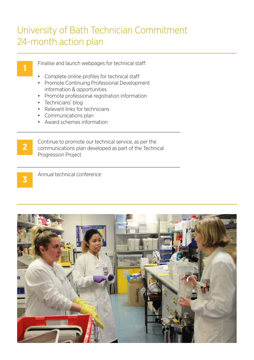## University of Bath Technician Commitment 24-month action plan

Finalise and launch webpages for technical staff:

- Complete online profiles for technical staff
- Promote Continuing Professional Development information & opportunities
- Promote professional registration information
- Technicians' blog
- Relevant links for technicians
- Communications plan
- Award schemes information

**2**

**1**

Continue to promote our technical service, as per the communications plan developed as part of the Technical Progression Project

**3**

Annual technical conference

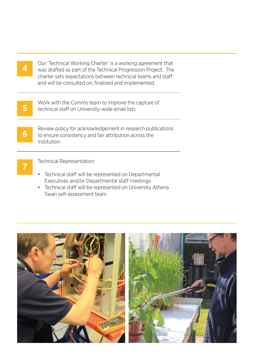| ÷      |
|--------|
| $\sim$ |
|        |
|        |

Our 'Technical Working Charter' is a working agreement that was drafted as part of the Technical Progression Project. The charter sets expectations between technical teams and staff and will be consulted on, finalised and implemented.

**5**

**6**

Work with the Comms team to improve the capture of technical staff on University-wide email lists

Review policy for acknowledgement in research publications to ensure consistency and fair attribution across the institution



Technical Representation:

- Technical staff will be represented on Departmental Executives and/or Departmental staff meetings
- Technical staff will be represented on University Athena Swan self-assessment team

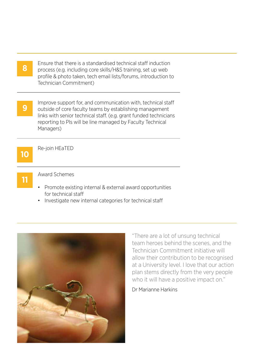Ensure that there is a standardised technical staff induction process (e.g. including core skills/H&S training, set up web profile & photo taken, tech email lists/forums, introduction to Technician Commitment)

Improve support for, and communication with, technical staff outside of core faculty teams by establishing management links with senior technical staff. (e.g. grant funded technicians reporting to PIs will be line managed by Faculty Technical Managers) **9**



**8**

Re-join HEaTED



Award Schemes

- Promote existing internal & external award opportunities for technical staff
- Investigate new internal categories for technical staff



"There are a lot of unsung technical team heroes behind the scenes, and the Technician Commitment initiative will allow their contribution to be recognised at a University level. I love that our action plan stems directly from the very people who it will have a positive impact on."

Dr Marianne Harkins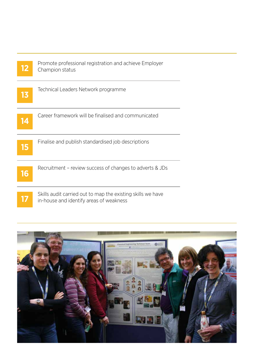| 12 | Promote professional registration and achieve Employer<br>Champion status                              |
|----|--------------------------------------------------------------------------------------------------------|
| 13 | Technical Leaders Network programme                                                                    |
| 14 | Career framework will be finalised and communicated                                                    |
| 15 | Finalise and publish standardised job descriptions                                                     |
| 16 | Recruitment – review success of changes to adverts & JDs                                               |
|    | Skills audit carried out to map the existing skills we have<br>in-house and identify areas of weakness |

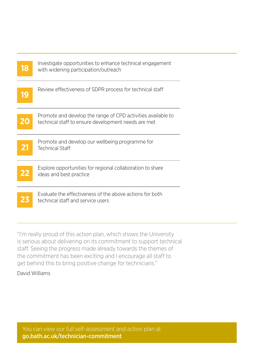| 18 | Investigate opportunities to enhance technical engagement<br>with widening participation/outreach                   |
|----|---------------------------------------------------------------------------------------------------------------------|
| 19 | Review effectiveness of SDPR process for technical staff                                                            |
| 20 | Promote and develop the range of CPD activities available to<br>technical staff to ensure development needs are met |
| 21 | Promote and develop our wellbeing programme for<br><b>Technical Staff</b>                                           |
| 22 | Explore opportunities for regional collaboration to share<br>ideas and best practice                                |
|    | Evaluate the effectiveness of the above actions for both<br>technical staff and service users                       |

"I'm really proud of this action plan, which shows the University is serious about delivering on its commitment to support technical staff. Seeing the progress made already towards the themes of the commitment has been exciting and I encourage all staff to get behind this to bring positive change for technicians."

### David Williams